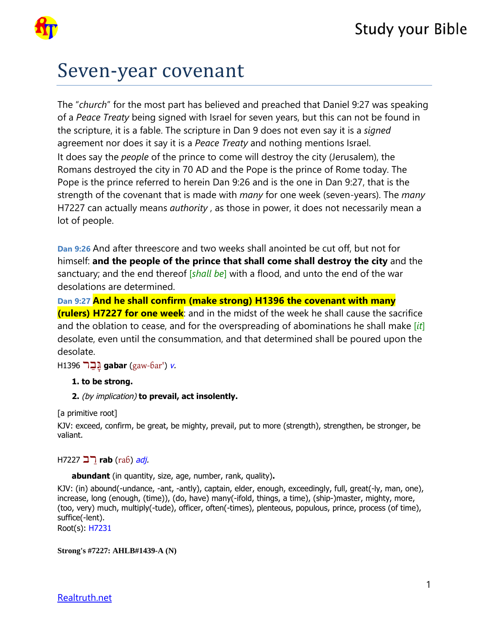

# Seven-year covenant

The "*church*" for the most part has believed and preached that Daniel 9:27 was speaking of a *Peace Treaty* being signed with Israel for seven years, but this can not be found in the scripture, it is a fable. The scripture in Dan 9 does not even say it is a *signed* agreement nor does it say it is a *Peace Treaty* and nothing mentions Israel. It does say the *people* of the prince to come will destroy the city (Jerusalem), the Romans destroyed the city in 70 AD and the Pope is the prince of Rome today. The Pope is the prince referred to herein Dan 9:26 and is the one in Dan 9:27, that is the strength of the covenant that is made with *many* for one week (seven-years). The *many* H7227 can actually means *authority* , as those in power, it does not necessarily mean a lot of people.

**Dan 9:26** And after threescore and two weeks shall anointed be cut off, but not for himself: **and the people of the prince that shall come shall destroy the city** and the sanctuary; and the end thereof [*shall be*] with a flood, and unto the end of the war desolations are determined.

**Dan 9:27 And he shall confirm (make strong) H1396 the covenant with many (rulers) H7227 for one week**: and in the midst of the week he shall cause the sacrifice and the oblation to cease, and for the overspreading of abominations he shall make [*it*] desolate, even until the consummation, and that determined shall be poured upon the desolate.

H1396 רַבָּג **gabar** ([gaw-ɓar'](tw://[self]?tid=15)) [v](tw://[self]?tid=1000000#V-).

#### **1. to be strong.**

**2.** (by implication) **to prevail, act insolently.** 

[a primitive root]

KJV: exceed, confirm, be great, be mighty, prevail, put to more (strength), strengthen, be stronger, be valiant.

H7227 רבַ **rab** ([raɓ](tw://[self]?tid=15)) [adj](tw://[self]?tid=1000000#ADJ-).

**abundant** (in quantity, size, age, number, rank, quality)**.** 

KJV: (in) abound(-undance, -ant, -antly), captain, elder, enough, exceedingly, full, great(-ly, man, one), increase, long (enough, (time)), (do, have) many(-ifold, things, a time), (ship-)master, mighty, more, (too, very) much, multiply(-tude), officer, often(-times), plenteous, populous, prince, process (of time), suffice(-lent).

Root(s): [H7231](tw://[self]?H7231)

**Strong's #7227: AHLB#1439-A (N)**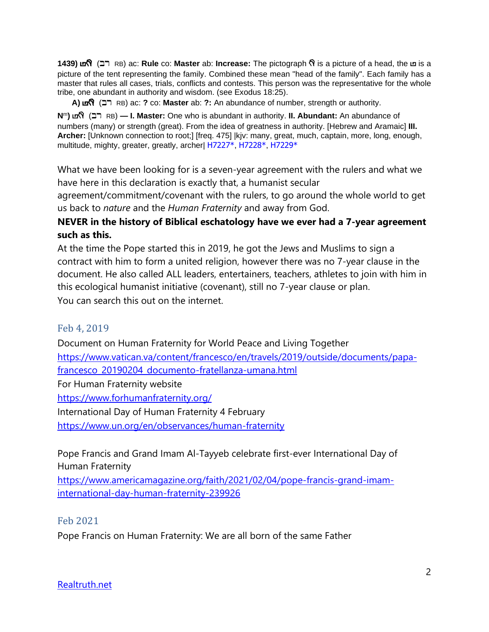**1439) <b>Prover Arch Raster** ab: **Increase:** The pictograph  $\hat{\mathbf{N}}$  is a picture of a head, the **u** is a and **corress in a letter** ab: **Increase:** The pictograph  $\hat{\mathbf{N}}$  is a picture of a head, the **u** is a picture of the tent representing the family. Combined these mean "head of the family". Each family has a master that rules all cases, trials, conflicts and contests. This person was the representative for the whole tribe, one abundant in authority and wisdom. (see Exodus 18:25).

**A)** Br% (Br RB) ac: **?** co: **Master** ab: **?:** An abundance of number, strength or authority.

**N**<sup>m</sup>**)** Br (Br RB) **— I. Master:** One who is abundant in authority. **II. Abundant:** An abundance of numbers (many) or strength (great). From the idea of greatness in authority. [Hebrew and Aramaic] **III. Archer:** [Unknown connection to root;] [freq. 475] |kjv: many, great, much, captain, more, long, enough, multitude, mighty, greater, greatly, archer| H7227\*, H7228\*, H7229\*

What we have been looking for is a seven-year agreement with the rulers and what we have here in this declaration is exactly that, a humanist secular

agreement/commitment/covenant with the rulers, to go around the whole world to get us back to *nature* and the *Human Fraternity* and away from God.

## **NEVER in the history of Biblical eschatology have we ever had a 7-year agreement such as this.**

At the time the Pope started this in 2019, he got the Jews and Muslims to sign a contract with him to form a united religion, however there was no 7-year clause in the document. He also called ALL leaders, entertainers, teachers, athletes to join with him in this ecological humanist initiative (covenant), still no 7-year clause or plan. You can search this out on the internet.

## Feb 4, 2019

Document on Human Fraternity for World Peace and Living Together [https://www.vatican.va/content/francesco/en/travels/2019/outside/documents/papa](https://www.vatican.va/content/francesco/en/travels/2019/outside/documents/papa-francesco_20190204_documento-fratellanza-umana.html)[francesco\\_20190204\\_documento-fratellanza-umana.html](https://www.vatican.va/content/francesco/en/travels/2019/outside/documents/papa-francesco_20190204_documento-fratellanza-umana.html) For Human Fraternity website <https://www.forhumanfraternity.org/> International Day of Human Fraternity 4 February <https://www.un.org/en/observances/human-fraternity>

Pope Francis and Grand Imam Al-Tayyeb celebrate first-ever International Day of Human Fraternity

[https://www.americamagazine.org/faith/2021/02/04/pope-francis-grand-imam](https://www.americamagazine.org/faith/2021/02/04/pope-francis-grand-imam-international-day-human-fraternity-239926)[international-day-human-fraternity-239926](https://www.americamagazine.org/faith/2021/02/04/pope-francis-grand-imam-international-day-human-fraternity-239926)

Feb 2021

Pope Francis on Human Fraternity: We are all born of the same Father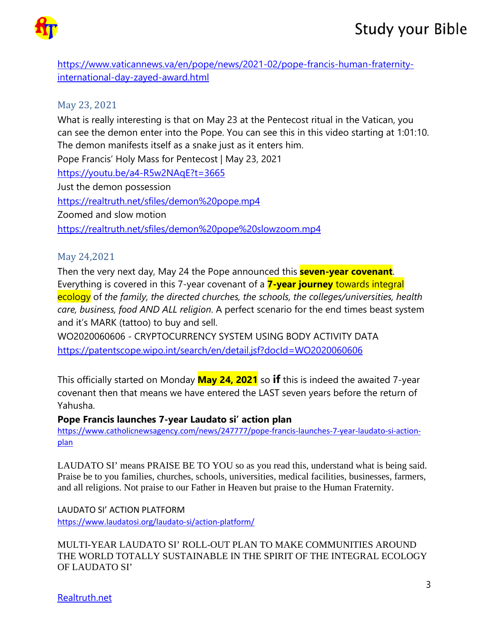

[https://www.vaticannews.va/en/pope/news/2021-02/pope-francis-human-fraternity](https://www.vaticannews.va/en/pope/news/2021-02/pope-francis-human-fraternity-international-day-zayed-award.html)[international-day-zayed-award.html](https://www.vaticannews.va/en/pope/news/2021-02/pope-francis-human-fraternity-international-day-zayed-award.html)

## May 23, 2021

What is really interesting is that on May 23 at the Pentecost ritual in the Vatican, you can see the demon enter into the Pope. You can see this in this video starting at 1:01:10. The demon manifests itself as a snake just as it enters him.

Pope Francis' Holy Mass for Pentecost | May 23, 2021 <https://youtu.be/a4-R5w2NAqE?t=3665> Just the demon possession <https://realtruth.net/sfiles/demon%20pope.mp4> Zoomed and slow motion <https://realtruth.net/sfiles/demon%20pope%20slowzoom.mp4>

## May 24,2021

Then the very next day, May 24 the Pope announced this **seven-year covenant**. Everything is covered in this 7-year covenant of a **7-year journey** towards integral ecology of *the family, the directed churches, the schools, the colleges/universities, health care, business, food AND ALL religion*. A perfect scenario for the end times beast system and it's MARK (tattoo) to buy and sell.

WO2020060606 - CRYPTOCURRENCY SYSTEM USING BODY ACTIVITY DATA <https://patentscope.wipo.int/search/en/detail.jsf?docId=WO2020060606>

This officially started on Monday **May 24, 2021** so **if** this is indeed the awaited 7-year covenant then that means we have entered the LAST seven years before the return of Yahusha.

## **Pope Francis launches 7-year Laudato si' action plan**

[https://www.catholicnewsagency.com/news/247777/pope-francis-launches-7-year-laudato-si-action](https://www.catholicnewsagency.com/news/247777/pope-francis-launches-7-year-laudato-si-action-plan)[plan](https://www.catholicnewsagency.com/news/247777/pope-francis-launches-7-year-laudato-si-action-plan)

LAUDATO SI' means PRAISE BE TO YOU so as you read this, understand what is being said. Praise be to you families, churches, schools, universities, medical facilities, businesses, farmers, and all religions. Not praise to our Father in Heaven but praise to the Human Fraternity.

LAUDATO SI' ACTION PLATFORM <https://www.laudatosi.org/laudato-si/action-platform/>

MULTI-YEAR LAUDATO SI' ROLL-OUT PLAN TO MAKE COMMUNITIES AROUND THE WORLD TOTALLY SUSTAINABLE IN THE SPIRIT OF THE INTEGRAL ECOLOGY OF LAUDATO SI'

Realtruth.net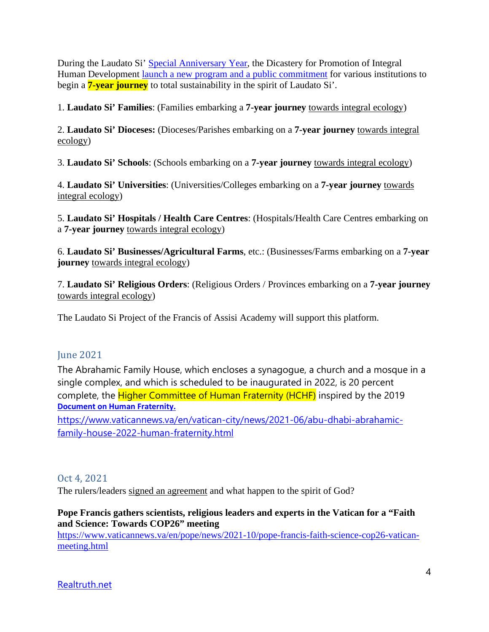During the Laudato Si' [Special Anniversary Year,](https://www.laudatosi.org/laudato-si/laudato-si-year-2020-2021/) the Dicastery for Promotion of Integral Human Development [launch a new program and a public commitment](https://www.laudatosi.org/action/laudato-si-action-platform/) for various institutions to begin a **7-year journey** to total sustainability in the spirit of Laudato Si'.

1. **Laudato Si' Families**: (Families embarking a **7-year journey** towards integral ecology)

2. **Laudato Si' Dioceses:** (Dioceses/Parishes embarking on a **7-year journey** towards integral ecology)

3. **Laudato Si' Schools**: (Schools embarking on a **7-year journey** towards integral ecology)

4. **Laudato Si' Universities**: (Universities/Colleges embarking on a **7-year journey** towards integral ecology)

5. **Laudato Si' Hospitals / Health Care Centres**: (Hospitals/Health Care Centres embarking on a **7-year journey** towards integral ecology)

6. **Laudato Si' Businesses/Agricultural Farms**, etc.: (Businesses/Farms embarking on a **7-year journey** towards integral ecology)

7. **Laudato Si' Religious Orders**: (Religious Orders / Provinces embarking on a **7-year journey** towards integral ecology)

The Laudato Si Project of the Francis of Assisi Academy will support this platform.

## June 2021

The Abrahamic Family House, which encloses a synagogue, a church and a mosque in a single complex, and which is scheduled to be inaugurated in 2022, is 20 percent complete, the Higher Committee of Human Fraternity (HCHF) inspired by the 2019 **[Document on Human Fraternity.](https://www.vatican.va/content/francesco/en/travels/2019/outside/documents/papa-francesco_20190204_documento-fratellanza-umana.html)**

[https://www.vaticannews.va/en/vatican-city/news/2021-06/abu-dhabi-abrahamic](https://www.vaticannews.va/en/vatican-city/news/2021-06/abu-dhabi-abrahamic-family-house-2022-human-fraternity.html)[family-house-2022-human-fraternity.html](https://www.vaticannews.va/en/vatican-city/news/2021-06/abu-dhabi-abrahamic-family-house-2022-human-fraternity.html)

## Oct 4, 2021

The rulers/leaders signed an agreement and what happen to the spirit of God?

## **Pope Francis gathers scientists, religious leaders and experts in the Vatican for a "Faith and Science: Towards COP26" meeting**

[https://www.vaticannews.va/en/pope/news/2021-10/pope-francis-faith-science-cop26-vatican](https://www.vaticannews.va/en/pope/news/2021-10/pope-francis-faith-science-cop26-vatican-meeting.html)[meeting.html](https://www.vaticannews.va/en/pope/news/2021-10/pope-francis-faith-science-cop26-vatican-meeting.html)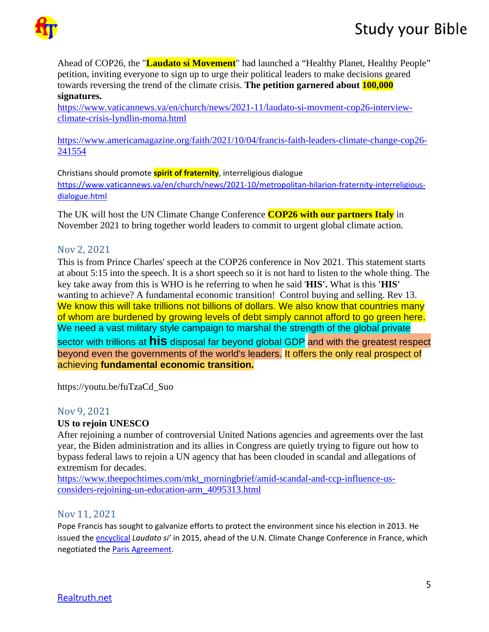

Ahead of COP26, the "**Laudato sí Movement**" had launched a "Healthy Planet, Healthy People" petition, inviting everyone to sign up to urge their political leaders to make decisions geared towards reversing the trend of the climate crisis. **The petition garnered about 100,000 signatures.**

[https://www.vaticannews.va/en/church/news/2021-11/laudato-si-movment-cop26-interview](https://www.vaticannews.va/en/church/news/2021-11/laudato-si-movment-cop26-interview-climate-crisis-lyndlin-moma.html)[climate-crisis-lyndlin-moma.html](https://www.vaticannews.va/en/church/news/2021-11/laudato-si-movment-cop26-interview-climate-crisis-lyndlin-moma.html)

[https://www.americamagazine.org/faith/2021/10/04/francis-faith-leaders-climate-change-cop26-](https://www.americamagazine.org/faith/2021/10/04/francis-faith-leaders-climate-change-cop26-241554) [241554](https://www.americamagazine.org/faith/2021/10/04/francis-faith-leaders-climate-change-cop26-241554)

Christians should promote **spirit of fraternity**, interreligious dialogue [https://www.vaticannews.va/en/church/news/2021-10/metropolitan-hilarion-fraternity-interreligious](https://www.vaticannews.va/en/church/news/2021-10/metropolitan-hilarion-fraternity-interreligious-dialogue.html)[dialogue.html](https://www.vaticannews.va/en/church/news/2021-10/metropolitan-hilarion-fraternity-interreligious-dialogue.html)

The UK will host the UN Climate Change Conference **COP26 with our partners Italy** in November 2021 to bring together world leaders to commit to urgent global climate action.

## Nov 2, 2021

This is from Prince Charles' speech at the COP26 conference in Nov 2021. This statement starts at about 5:15 into the speech. It is a short speech so it is not hard to listen to the whole thing. The key take away from this is WHO is he referring to when he said '**HIS'.** What is this **'HIS'** wanting to achieve? A fundamental economic transition! Control buying and selling. Rev 13. We know this will take trillions not billions of dollars. We also know that countries many of whom are burdened by growing levels of debt simply cannot afford to go green here. We need a vast military style campaign to marshal the strength of the global private sector with trillions at **his** disposal far beyond global GDP and with the greatest respect beyond even the governments of the world's leaders. It offers the only real prospect of achieving **fundamental economic transition.**

https://youtu.be/fuTzaCd\_Suo

## Nov 9, 2021

## **US to rejoin UNESCO**

After rejoining a number of controversial United Nations agencies and agreements over the last year, the Biden administration and its allies in Congress are quietly trying to figure out how to bypass federal laws to rejoin a UN agency that has been clouded in scandal and allegations of extremism for decades.

[https://www.theepochtimes.com/mkt\\_morningbrief/amid-scandal-and-ccp-influence-us](https://www.theepochtimes.com/mkt_morningbrief/amid-scandal-and-ccp-influence-us-considers-rejoining-un-education-arm_4095313.html)[considers-rejoining-un-education-arm\\_4095313.html](https://www.theepochtimes.com/mkt_morningbrief/amid-scandal-and-ccp-influence-us-considers-rejoining-un-education-arm_4095313.html) 

## Nov 11, 2021

Pope Francis has sought to galvanize efforts to protect the environment since his election in 2013. He issued the [encyclical](https://www.vatican.va/content/francesco/en/encyclicals/documents/papa-francesco_20150524_enciclica-laudato-si.html) *Laudato si'* in 2015, ahead of the U.N. Climate Change Conference in France, which negotiated the [Paris Agreement.](https://unfccc.int/sites/default/files/english_paris_agreement.pdf)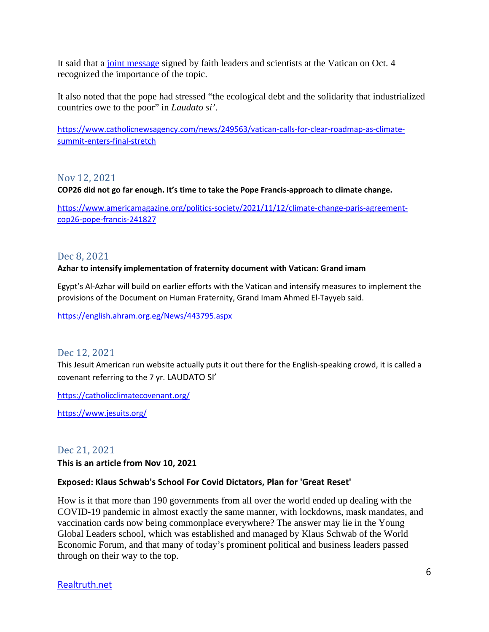It said that a [joint message](https://press.vatican.va/content/salastampa/it/bollettino/pubblico/2021/10/04/0627/01342.html#apelloing) signed by faith leaders and scientists at the Vatican on Oct. 4 recognized the importance of the topic.

It also noted that the pope had stressed "the ecological debt and the solidarity that industrialized countries owe to the poor" in *Laudato si'*.

[https://www.catholicnewsagency.com/news/249563/vatican-calls-for-clear-roadmap-as-climate](https://www.catholicnewsagency.com/news/249563/vatican-calls-for-clear-roadmap-as-climate-summit-enters-final-stretch)[summit-enters-final-stretch](https://www.catholicnewsagency.com/news/249563/vatican-calls-for-clear-roadmap-as-climate-summit-enters-final-stretch)

Nov 12, 2021

**COP26 did not go far enough. It's time to take the Pope Francis-approach to climate change.** 

[https://www.americamagazine.org/politics-society/2021/11/12/climate-change-paris-agreement](https://www.americamagazine.org/politics-society/2021/11/12/climate-change-paris-agreement-cop26-pope-francis-241827)[cop26-pope-francis-241827](https://www.americamagazine.org/politics-society/2021/11/12/climate-change-paris-agreement-cop26-pope-francis-241827)

#### Dec 8, 2021

#### **Azhar to intensify implementation of fraternity document with Vatican: Grand imam**

Egypt's Al-Azhar will build on earlier efforts with the Vatican and intensify measures to implement the provisions of the Document on Human Fraternity, Grand Imam Ahmed El-Tayyeb said.

<https://english.ahram.org.eg/News/443795.aspx>

#### Dec 12, 2021

This Jesuit American run website actually puts it out there for the English-speaking crowd, it is called a covenant referring to the 7 yr. LAUDATO SI'

<https://catholicclimatecovenant.org/>

<https://www.jesuits.org/>

## Dec 21, 2021

**This is an article from Nov 10, 2021** 

#### **Exposed: Klaus Schwab's School For Covid Dictators, Plan for 'Great Reset'**

How is it that more than 190 governments from all over the world ended up dealing with the COVID-19 pandemic in almost exactly the same manner, with lockdowns, mask mandates, and vaccination cards now being commonplace everywhere? The answer may lie in the Young Global Leaders school, which was established and managed by Klaus Schwab of the World Economic Forum, and that many of today's prominent political and business leaders passed through on their way to the top.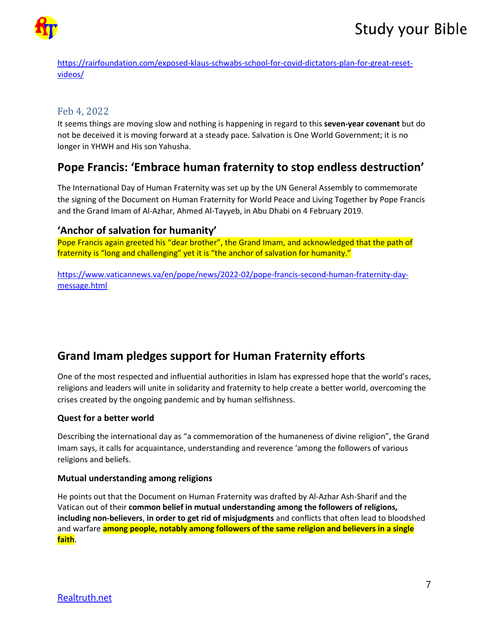

[https://rairfoundation.com/exposed-klaus-schwabs-school-for-covid-dictators-plan-for-great-reset](https://rairfoundation.com/exposed-klaus-schwabs-school-for-covid-dictators-plan-for-great-reset-videos/)[videos/](https://rairfoundation.com/exposed-klaus-schwabs-school-for-covid-dictators-plan-for-great-reset-videos/)

## Feb 4, 2022

It seems things are moving slow and nothing is happening in regard to this **seven-year covenant** but do not be deceived it is moving forward at a steady pace. Salvation is One World Government; it is no longer in YHWH and His son Yahusha.

# **Pope Francis: 'Embrace human fraternity to stop endless destruction'**

The International Day of Human Fraternity was set up by the UN General Assembly to commemorate the signing of the Document on Human Fraternity for World Peace and Living Together by Pope Francis and the Grand Imam of Al-Azhar, Ahmed Al-Tayyeb, in Abu Dhabi on 4 February 2019.

## **'Anchor of salvation for humanity'**

Pope Francis again greeted his "dear brother", the Grand Imam, and acknowledged that the path of fraternity is "long and challenging" yet it is "the anchor of salvation for humanity."

[https://www.vaticannews.va/en/pope/news/2022-02/pope-francis-second-human-fraternity-day](https://www.vaticannews.va/en/pope/news/2022-02/pope-francis-second-human-fraternity-day-message.html)[message.html](https://www.vaticannews.va/en/pope/news/2022-02/pope-francis-second-human-fraternity-day-message.html)

# **Grand Imam pledges support for Human Fraternity efforts**

One of the most respected and influential authorities in Islam has expressed hope that the world's races, religions and leaders will unite in solidarity and fraternity to help create a better world, overcoming the crises created by the ongoing pandemic and by human selfishness.

#### **Quest for a better world**

Describing the international day as "a commemoration of the humaneness of divine religion", the Grand Imam says, it calls for acquaintance, understanding and reverence 'among the followers of various religions and beliefs.

#### **Mutual understanding among religions**

He points out that the Document on Human Fraternity was drafted by Al-Azhar Ash-Sharif and the Vatican out of their **common belief in mutual understanding among the followers of religions, including non-believers**, **in order to get rid of misjudgments** and conflicts that often lead to bloodshed and warfare **among people, notably among followers of the same religion and believers in a single faith**.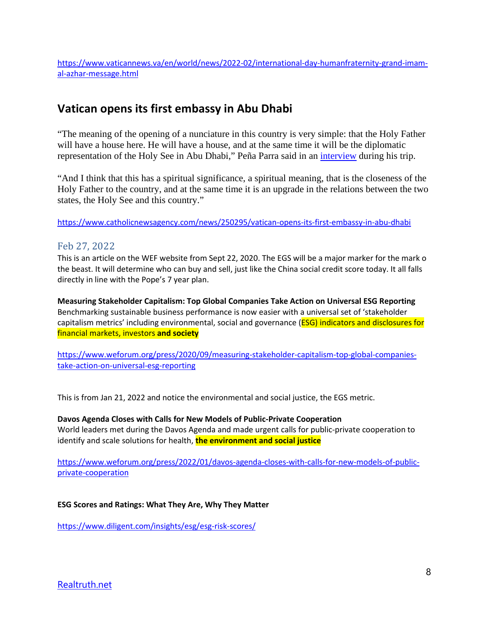[https://www.vaticannews.va/en/world/news/2022-02/international-day-humanfraternity-grand-imam](https://www.vaticannews.va/en/world/news/2022-02/international-day-humanfraternity-grand-imam-al-azhar-message.html)[al-azhar-message.html](https://www.vaticannews.va/en/world/news/2022-02/international-day-humanfraternity-grand-imam-al-azhar-message.html)

# **Vatican opens its first embassy in Abu Dhabi**

"The meaning of the opening of a nunciature in this country is very simple: that the Holy Father will have a house here. He will have a house, and at the same time it will be the diplomatic representation of the Holy See in Abu Dhabi," Peña Parra said in an *interview* during his trip.

"And I think that this has a spiritual significance, a spiritual meaning, that is the closeness of the Holy Father to the country, and at the same time it is an upgrade in the relations between the two states, the Holy See and this country."

<https://www.catholicnewsagency.com/news/250295/vatican-opens-its-first-embassy-in-abu-dhabi>

## Feb 27, 2022

This is an article on the WEF website from Sept 22, 2020. The EGS will be a major marker for the mark o the beast. It will determine who can buy and sell, just like the China social credit score today. It all falls directly in line with the Pope's 7 year plan.

**Measuring Stakeholder Capitalism: Top Global Companies Take Action on Universal ESG Reporting**  Benchmarking sustainable business performance is now easier with a universal set of 'stakeholder capitalism metrics' including environmental, social and governance (ESG) indicators and disclosures for financial markets, investors **and society**

[https://www.weforum.org/press/2020/09/measuring-stakeholder-capitalism-top-global-companies](https://www.weforum.org/press/2020/09/measuring-stakeholder-capitalism-top-global-companies-take-action-on-universal-esg-reporting)[take-action-on-universal-esg-reporting](https://www.weforum.org/press/2020/09/measuring-stakeholder-capitalism-top-global-companies-take-action-on-universal-esg-reporting)

This is from Jan 21, 2022 and notice the environmental and social justice, the EGS metric.

**Davos Agenda Closes with Calls for New Models of Public-Private Cooperation**  World leaders met during the Davos Agenda and made urgent calls for public-private cooperation to identify and scale solutions for health, **the environment and social justice**

[https://www.weforum.org/press/2022/01/davos-agenda-closes-with-calls-for-new-models-of-public](https://www.weforum.org/press/2022/01/davos-agenda-closes-with-calls-for-new-models-of-public-private-cooperation)[private-cooperation](https://www.weforum.org/press/2022/01/davos-agenda-closes-with-calls-for-new-models-of-public-private-cooperation)

#### **ESG Scores and Ratings: What They Are, Why They Matter**

<https://www.diligent.com/insights/esg/esg-risk-scores/>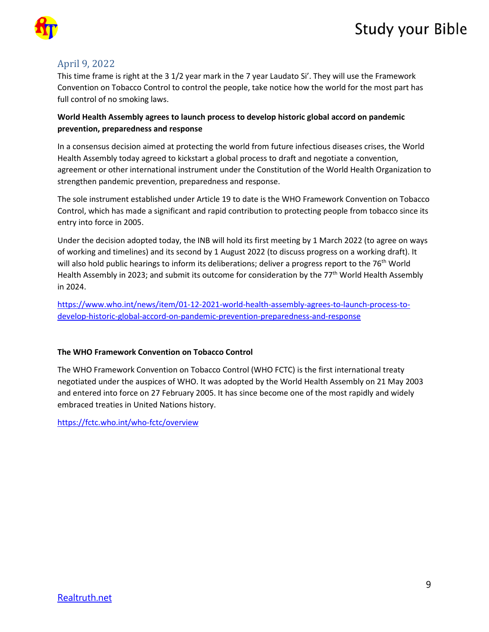# Study your Bible



## April 9, 2022

This time frame is right at the 3 1/2 year mark in the 7 year Laudato Si'. They will use the Framework Convention on Tobacco Control to control the people, take notice how the world for the most part has full control of no smoking laws.

#### **World Health Assembly agrees to launch process to develop historic global accord on pandemic prevention, preparedness and response**

In a consensus decision aimed at protecting the world from future infectious diseases crises, the World Health Assembly today agreed to kickstart a global process to draft and negotiate a convention, agreement or other international instrument under the Constitution of the World Health Organization to strengthen pandemic prevention, preparedness and response.

The sole instrument established under Article 19 to date is the WHO Framework Convention on Tobacco Control, which has made a significant and rapid contribution to protecting people from tobacco since its entry into force in 2005.

Under the decision adopted today, the INB will hold its first meeting by 1 March 2022 (to agree on ways of working and timelines) and its second by 1 August 2022 (to discuss progress on a working draft). It will also hold public hearings to inform its deliberations; deliver a progress report to the 76<sup>th</sup> World Health Assembly in 2023; and submit its outcome for consideration by the 77<sup>th</sup> World Health Assembly in 2024.

[https://www.who.int/news/item/01-12-2021-world-health-assembly-agrees-to-launch-process-to](https://www.who.int/news/item/01-12-2021-world-health-assembly-agrees-to-launch-process-to-develop-historic-global-accord-on-pandemic-prevention-preparedness-and-response)[develop-historic-global-accord-on-pandemic-prevention-preparedness-and-response](https://www.who.int/news/item/01-12-2021-world-health-assembly-agrees-to-launch-process-to-develop-historic-global-accord-on-pandemic-prevention-preparedness-and-response)

#### **The WHO Framework Convention on Tobacco Control**

The WHO Framework Convention on Tobacco Control (WHO FCTC) is the first international treaty negotiated under the auspices of WHO. It was adopted by the World Health Assembly on 21 May 2003 and entered into force on 27 February 2005. It has since become one of the most rapidly and widely embraced treaties in United Nations history.

<https://fctc.who.int/who-fctc/overview>